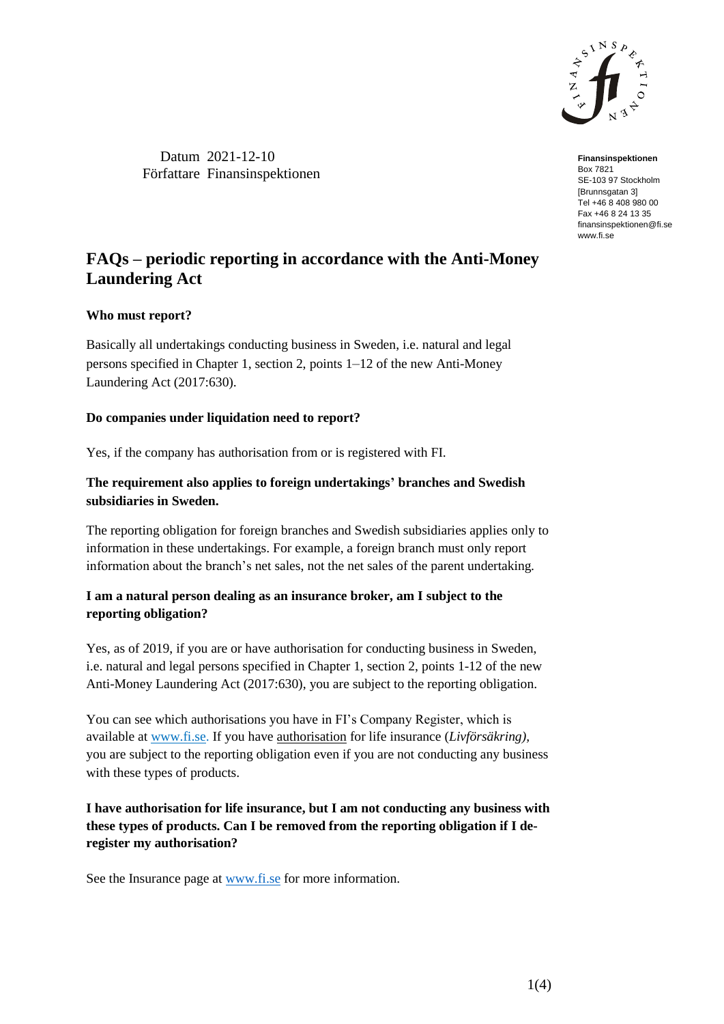

Datum 2021-12-10 Författare Finansinspektionen

**Finansinspektionen** Box 7821 SE-103 97 Stockholm [Brunnsgatan 3] Tel +46 8 408 980 00 Fax +46 8 24 13 35 finansinspektionen@fi.se www.fi.se

# **FAQs – periodic reporting in accordance with the Anti-Money Laundering Act**

# **Who must report?**

Basically all undertakings conducting business in Sweden, i.e. natural and legal persons specified in Chapter 1, section 2, points 1–12 of the new Anti-Money Laundering Act (2017:630).

# **Do companies under liquidation need to report?**

Yes, if the company has authorisation from or is registered with FI.

# **The requirement also applies to foreign undertakings' branches and Swedish subsidiaries in Sweden.**

The reporting obligation for foreign branches and Swedish subsidiaries applies only to information in these undertakings. For example, a foreign branch must only report information about the branch's net sales, not the net sales of the parent undertaking*.*

# **I am a natural person dealing as an insurance broker, am I subject to the reporting obligation?**

Yes, as of 2019, if you are or have authorisation for conducting business in Sweden, i.e. natural and legal persons specified in Chapter 1, section 2, points 1-12 of the new Anti-Money Laundering Act (2017:630), you are subject to the reporting obligation.

You can see which authorisations you have in FI's Company Register, which is available at [www.fi.se.](http://www.fi.se/) If you have authorisation for life insurance (*Livförsäkring),* you are subject to the reporting obligation even if you are not conducting any business with these types of products.

# **I have authorisation for life insurance, but I am not conducting any business with these types of products. Can I be removed from the reporting obligation if I deregister my authorisation?**

See the Insurance page at [www.fi.se](http://www.fi.se/) for more information.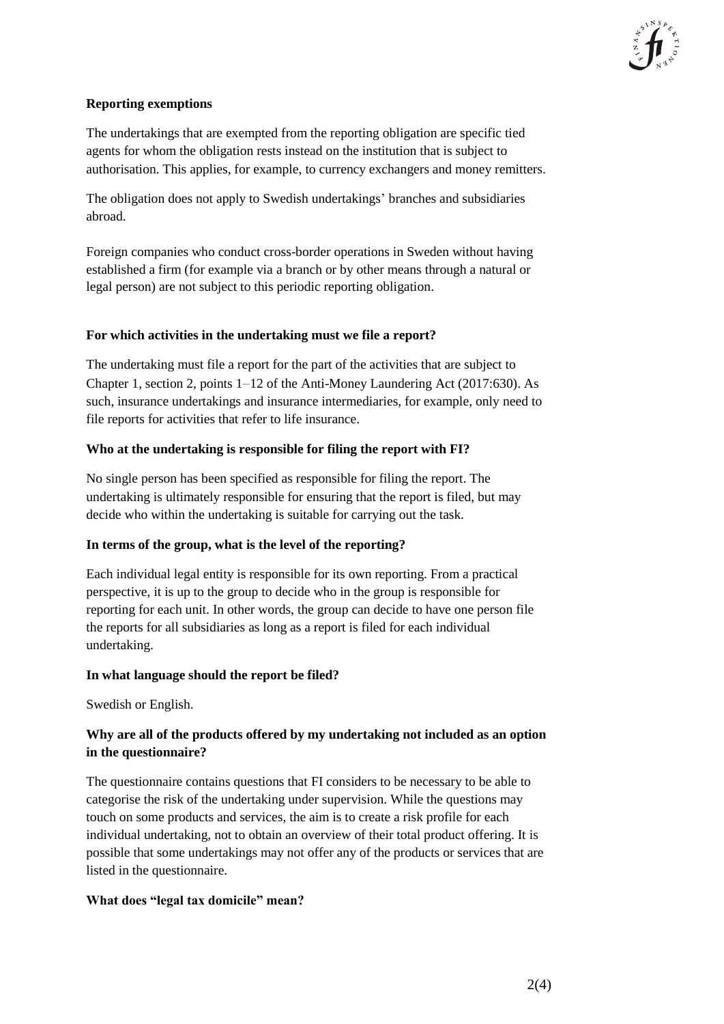

# **Reporting exemptions**

The undertakings that are exempted from the reporting obligation are specific tied agents for whom the obligation rests instead on the institution that is subject to authorisation. This applies, for example, to currency exchangers and money remitters.

The obligation does not apply to Swedish undertakings' branches and subsidiaries abroad.

Foreign companies who conduct cross-border operations in Sweden without having established a firm (for example via a branch or by other means through a natural or legal person) are not subject to this periodic reporting obligation.

#### **For which activities in the undertaking must we file a report?**

The undertaking must file a report for the part of the activities that are subject to Chapter 1, section 2, points 1–12 of the Anti-Money Laundering Act (2017:630). As such, insurance undertakings and insurance intermediaries, for example, only need to file reports for activities that refer to life insurance.

#### **Who at the undertaking is responsible for filing the report with FI?**

No single person has been specified as responsible for filing the report. The undertaking is ultimately responsible for ensuring that the report is filed, but may decide who within the undertaking is suitable for carrying out the task.

# **In terms of the group, what is the level of the reporting?**

Each individual legal entity is responsible for its own reporting. From a practical perspective, it is up to the group to decide who in the group is responsible for reporting for each unit. In other words, the group can decide to have one person file the reports for all subsidiaries as long as a report is filed for each individual undertaking.

#### **In what language should the report be filed?**

Swedish or English.

# **Why are all of the products offered by my undertaking not included as an option in the questionnaire?**

The questionnaire contains questions that FI considers to be necessary to be able to categorise the risk of the undertaking under supervision. While the questions may touch on some products and services, the aim is to create a risk profile for each individual undertaking, not to obtain an overview of their total product offering. It is possible that some undertakings may not offer any of the products or services that are listed in the questionnaire.

#### **What does "legal tax domicile" mean?**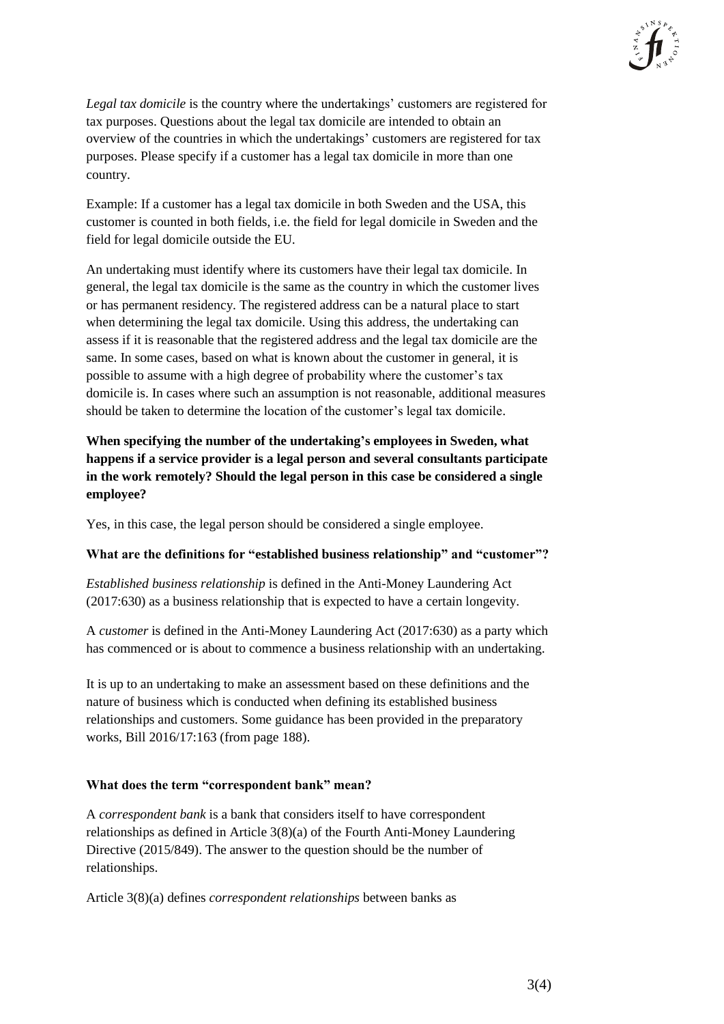

*Legal tax domicile* is the country where the undertakings' customers are registered for tax purposes. Questions about the legal tax domicile are intended to obtain an overview of the countries in which the undertakings' customers are registered for tax purposes. Please specify if a customer has a legal tax domicile in more than one country.

Example: If a customer has a legal tax domicile in both Sweden and the USA, this customer is counted in both fields, i.e. the field for legal domicile in Sweden and the field for legal domicile outside the EU.

An undertaking must identify where its customers have their legal tax domicile. In general, the legal tax domicile is the same as the country in which the customer lives or has permanent residency. The registered address can be a natural place to start when determining the legal tax domicile. Using this address, the undertaking can assess if it is reasonable that the registered address and the legal tax domicile are the same. In some cases, based on what is known about the customer in general, it is possible to assume with a high degree of probability where the customer's tax domicile is. In cases where such an assumption is not reasonable, additional measures should be taken to determine the location of the customer's legal tax domicile.

**When specifying the number of the undertaking's employees in Sweden, what happens if a service provider is a legal person and several consultants participate in the work remotely? Should the legal person in this case be considered a single employee?**

Yes, in this case, the legal person should be considered a single employee.

# **What are the definitions for "established business relationship" and "customer"?**

*Established business relationship* is defined in the Anti-Money Laundering Act (2017:630) as a business relationship that is expected to have a certain longevity.

A *customer* is defined in the Anti-Money Laundering Act (2017:630) as a party which has commenced or is about to commence a business relationship with an undertaking.

It is up to an undertaking to make an assessment based on these definitions and the nature of business which is conducted when defining its established business relationships and customers. Some guidance has been provided in the preparatory works, Bill 2016/17:163 (from page 188).

#### **What does the term "correspondent bank" mean?**

A *correspondent bank* is a bank that considers itself to have correspondent relationships as defined in Article 3(8)(a) of the Fourth Anti-Money Laundering Directive (2015/849). The answer to the question should be the number of relationships.

Article 3(8)(a) defines *correspondent relationships* between banks as